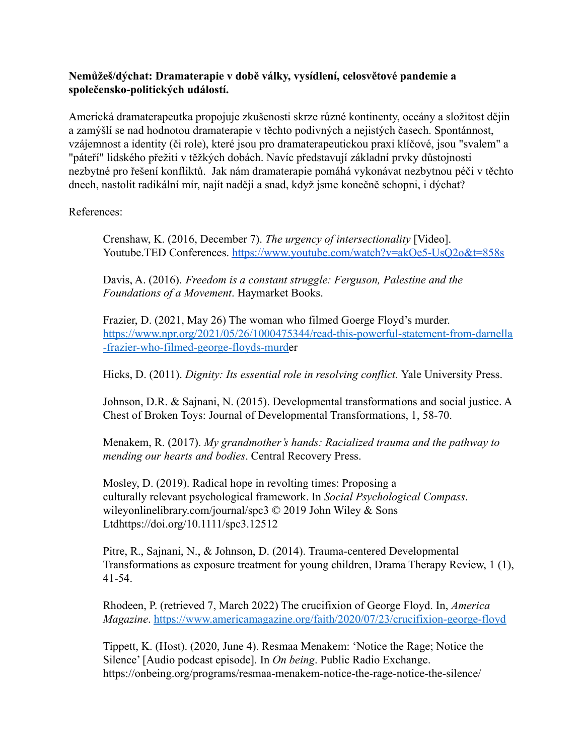## **Nemůžeš/dýchat: Dramaterapie v době války, vysídlení, celosvětové pandemie a společensko-politických událostí.**

Americká dramaterapeutka propojuje zkušenosti skrze různé kontinenty, oceány a složitost dějin a zamýšlí se nad hodnotou dramaterapie v těchto podivných a nejistých časech. Spontánnost, vzájemnost a identity (či role), které jsou pro dramaterapeutickou praxi klíčové, jsou "svalem" a "páteří" lidského přežití v těžkých dobách. Navíc představují základní prvky důstojnosti nezbytné pro řešení konfliktů. Jak nám dramaterapie pomáhá vykonávat nezbytnou péči v těchto dnech, nastolit radikální mír, najít naději a snad, když jsme konečně schopni, i dýchat?

References:

Crenshaw, K. (2016, December 7). *The urgency of intersectionality* [Video]. Youtube.TED Conferences. <https://www.youtube.com/watch?v=akOe5-UsQ2o&t=858s>

Davis, A. (2016). *Freedom is a constant struggle: Ferguson, Palestine and the Foundations of a Movement*. Haymarket Books.

Frazier, D. (2021, May 26) The woman who filmed Goerge Floyd's murder. [https://www.npr.org/2021/05/26/1000475344/read-this-powerful-statement-from-darnella](https://www.npr.org/2021/05/26/1000475344/read-this-powerful-statement-from-darnella-frazier-who-filmed-george-floyds-murd) [-frazier-who-filmed-george-floyds-murde](https://www.npr.org/2021/05/26/1000475344/read-this-powerful-statement-from-darnella-frazier-who-filmed-george-floyds-murd)r

Hicks, D. (2011). *Dignity: Its essential role in resolving conflict.* Yale University Press.

Johnson, D.R. & Sajnani, N. (2015). Developmental transformations and social justice. A Chest of Broken Toys: Journal of Developmental Transformations, 1, 58-70.

Menakem, R. (2017). *My grandmother's hands: Racialized trauma and the pathway to mending our hearts and bodies*. Central Recovery Press.

Mosley, D. (2019). Radical hope in revolting times: Proposing a culturally relevant psychological framework. In *Social Psychological Compass*. wileyonlinelibrary.com/journal/spc3 © 2019 John Wiley & Sons Ltdhttps://doi.org/10.1111/spc3.12512

Pitre, R., Sajnani, N., & Johnson, D. (2014). Trauma-centered Developmental Transformations as exposure treatment for young children, Drama Therapy Review, 1 (1), 41-54.

Rhodeen, P. (retrieved 7, March 2022) The crucifixion of George Floyd. In, *America Magazine*. <https://www.americamagazine.org/faith/2020/07/23/crucifixion-george-floyd>

Tippett, K. (Host). (2020, June 4). Resmaa Menakem: 'Notice the Rage; Notice the Silence' [Audio podcast episode]. In *On being*. Public Radio Exchange. https://onbeing.org/programs/resmaa-menakem-notice-the-rage-notice-the-silence/